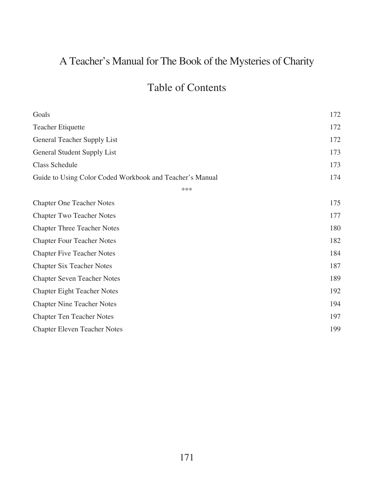## A Teacher's Manual for The Book of the Mysteries of Charity

## Table of Contents

| Goals                                                    | 172 |
|----------------------------------------------------------|-----|
| <b>Teacher Etiquette</b>                                 | 172 |
| General Teacher Supply List                              | 172 |
| General Student Supply List                              | 173 |
| <b>Class Schedule</b>                                    | 173 |
| Guide to Using Color Coded Workbook and Teacher's Manual | 174 |
| ***                                                      |     |
| <b>Chapter One Teacher Notes</b>                         | 175 |
| <b>Chapter Two Teacher Notes</b>                         | 177 |
| <b>Chapter Three Teacher Notes</b>                       | 180 |
| <b>Chapter Four Teacher Notes</b>                        | 182 |
| <b>Chapter Five Teacher Notes</b>                        | 184 |
| <b>Chapter Six Teacher Notes</b>                         | 187 |
| <b>Chapter Seven Teacher Notes</b>                       | 189 |
| <b>Chapter Eight Teacher Notes</b>                       | 192 |
| <b>Chapter Nine Teacher Notes</b>                        | 194 |
| <b>Chapter Ten Teacher Notes</b>                         | 197 |
| <b>Chapter Eleven Teacher Notes</b>                      | 199 |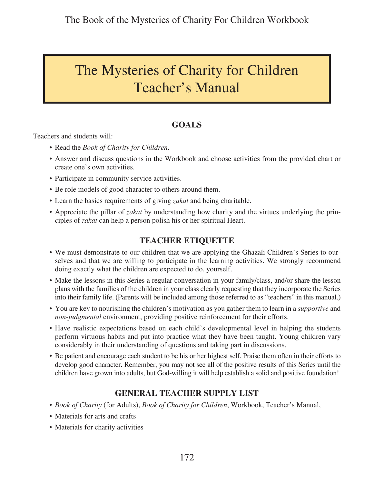# The Mysteries of Charity for Children Teacher's Manual

## **GOALS**

Teachers and students will:

- • Read the *Book of Charity for Children*.
- Answer and discuss questions in the Workbook and choose activities from the provided chart or create one's own activities.
- Participate in community service activities.
- Be role models of good character to others around them.
- Learn the basics requirements of giving *zakat* and being charitable.
- Appreciate the pillar of *zakat* by understanding how charity and the virtues underlying the principles of *zakat* can help a person polish his or her spiritual Heart.

### **TEACHER ETIQUETTE**

- We must demonstrate to our children that we are applying the Ghazali Children's Series to ourselves and that we are willing to participate in the learning activities. We strongly recommend doing exactly what the children are expected to do, yourself.
- Make the lessons in this Series a regular conversation in your family/class, and/or share the lesson plans with the families of the children in your class clearly requesting that they incorporate the Series into their family life. (Parents will be included among those referred to as "teachers" in this manual.)
- • You are key to nourishing the children's motivation as you gather them to learn in a *supportive* and *non-judgmental* environment, providing positive reinforcement for their efforts.
- Have realistic expectations based on each child's developmental level in helping the students perform virtuous habits and put into practice what they have been taught. Young children vary considerably in their understanding of questions and taking part in discussions.
- Be patient and encourage each student to be his or her highest self. Praise them often in their efforts to develop good character. Remember, you may not see all of the positive results of this Series until the children have grown into adults, but God-willing it will help establish a solid and positive foundation!

### **GENERAL TEACHER SUPPLY LIST**

- *• Book of Charity* (for Adults), *Book of Charity for Children*, Workbook, Teacher's Manual,
- Materials for arts and crafts
- Materials for charity activities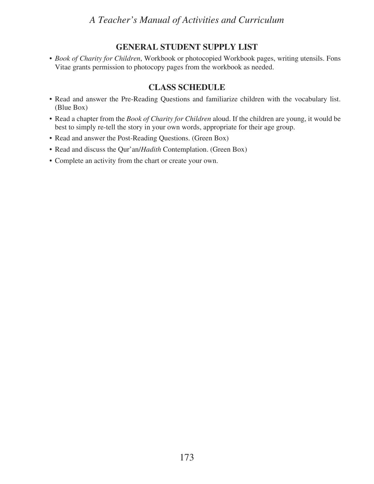#### **GENERAL STUDENT SUPPLY LIST**

*• Book of Charity for Children*, Workbook or photocopied Workbook pages, writing utensils. Fons Vitae grants permission to photocopy pages from the workbook as needed.

#### **CLASS SCHEDULE**

- Read and answer the Pre-Reading Questions and familiarize children with the vocabulary list. (Blue Box)
- Read a chapter from the *Book of Charity for Children* aloud. If the children are young, it would be best to simply re-tell the story in your own words, appropriate for their age group.
- Read and answer the Post-Reading Questions. (Green Box)
- Read and discuss the Qur'an/*Hadith* Contemplation. (Green Box)
- • Complete an activity from the chart or create your own.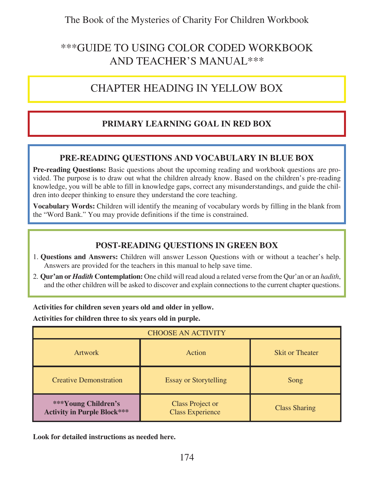## \*\*\*GUIDE TO USING COLOR CODED WORKBOOK AND TEACHER'S MANUAL\*\*\*

## CHAPTER HEADING IN YELLOW BOX

### **PRIMARY LEARNING GOAL IN RED BOX**

### **PRE-READING QUESTIONS AND VOCABULARY IN BLUE BOX**

**Pre-reading Questions:** Basic questions about the upcoming reading and workbook questions are provided. The purpose is to draw out what the children already know. Based on the children's pre-reading knowledge, you will be able to fill in knowledge gaps, correct any misunderstandings, and guide the children into deeper thinking to ensure they understand the core teaching.

**Vocabulary Words:** Children will identify the meaning of vocabulary words by filling in the blank from the "Word Bank." You may provide definitions if the time is constrained.

#### **POST-READING QUESTIONS IN GREEN BOX**

- 1. **Questions and Answers:** Children will answer Lesson Questions with or without a teacher's help. Answers are provided for the teachers in this manual to help save time.
- 2. **Qur'an or** *Hadith* **Contemplation:** One child will read aloud a related verse from the Qur'an or an *hadith*, and the other children will be asked to discover and explain connections to the current chapter questions.

**Activities for children seven years old and older in yellow.**

**Activities for children three to six years old in purple.**

| <b>CHOOSE AN ACTIVITY</b>                                 |                                                    |                      |
|-----------------------------------------------------------|----------------------------------------------------|----------------------|
| <b>Artwork</b>                                            | Action<br><b>Skit or Theater</b>                   |                      |
| <b>Creative Demonstration</b>                             | <b>Essay or Storytelling</b>                       | Song                 |
| ***Young Children's<br><b>Activity in Purple Block***</b> | <b>Class Project or</b><br><b>Class Experience</b> | <b>Class Sharing</b> |

**Look for detailed instructions as needed here.**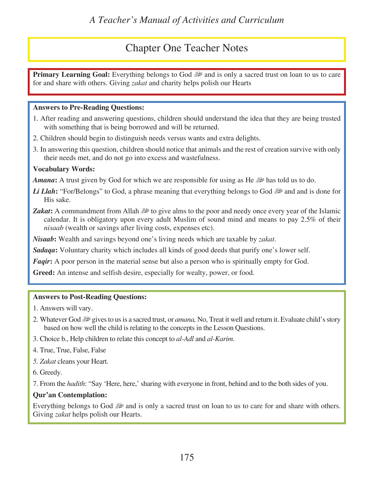## Chapter One Teacher Notes

and is only a sacred trust on loan to us to care use of trust on loan to us to care local: Everything belongs to God for and share with others. Giving *zakat* and charity helps polish our Hearts

#### **Answers to Pre-Reading Questions:**

- 1. After reading and answering questions, children should understand the idea that they are being trusted with something that is being borrowed and will be returned.
- 2. Children should begin to distinguish needs versus wants and extra delights.
- 3. In answering this question, children should notice that animals and the rest of creation survive with only their needs met, and do not go into excess and wastefulness.

#### **Vocabulary Words:**

*Amana*: A trust given by God for which we are responsible for using as He  $\mathbb{R}^n$  has told us to do.

- *Li Llah*: "For/Belongs" to God, a phrase meaning that everything belongs to God  $\mathbb{R}^2$  and and is done for His sake.
- *Zakat***:** A commandment from Allah  $\mathbb{R}$  to give alms to the poor and needy once every year of the Islamic calendar. It is obligatory upon every adult Muslim of sound mind and means to pay 2.5% of their *nisaab* (wealth or savings after living costs, expenses etc).

*Nisaab***:** Wealth and savings beyond one's living needs which are taxable by *zakat*.

*Sadaqa***:** Voluntary charity which includes all kinds of good deeds that purify one's lower self.

*Faqir*: A poor person in the material sense but also a person who is spiritually empty for God.

**Greed:** An intense and selfish desire, especially for wealty, power, or food.

#### **Answers to Post-Reading Questions:**

- 1. Answers will vary.
- 2. Whatever God u gives to us is a sacred trust, or *amana,* No, Treat it well and return it. Evaluate child's story based on how well the child is relating to the concepts in the Lesson Questions.
- 3. Choice b., Help children to relate this concept to *al-Adl* and *al-Karim*.
- 4. True, True, False, False
- *5. Zakat* cleans your Heart.
- 6. Greedy.

7. From the *hadith*: "Say 'Here, here,' sharing with everyone in front, behind and to the both sides of you.

#### **Qur'an Contemplation:**

Everything belongs to God  $\mathbb{R}^n$  and is only a sacred trust on loan to us to care for and share with others. Giving *zakat* helps polish our Hearts.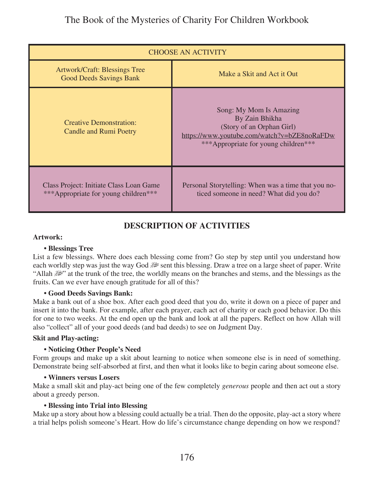| <b>CHOOSE AN ACTIVITY</b>                                                       |                                                                                                                                                               |
|---------------------------------------------------------------------------------|---------------------------------------------------------------------------------------------------------------------------------------------------------------|
| <b>Artwork/Craft: Blessings Tree</b><br><b>Good Deeds Savings Bank</b>          | Make a Skit and Act it Out                                                                                                                                    |
| <b>Creative Demonstration:</b><br><b>Candle and Rumi Poetry</b>                 | Song: My Mom Is Amazing<br>By Zain Bhikha<br>(Story of an Orphan Girl)<br>https://www.youtube.com/watch?v=bZE8noRaFDw<br>***Appropriate for young children*** |
| Class Project: Initiate Class Loan Game<br>***Appropriate for young children*** | Personal Storytelling: When was a time that you no-<br>ticed someone in need? What did you do?                                                                |

### **DESCRIPTION OF ACTIVITIES**

#### **Artwork:**

#### **• Blessings Tree**

List a few blessings. Where does each blessing come from? Go step by step until you understand how each worldly step was just the way God  $\mathbb{R}^n$  sent this blessing. Draw a tree on a large sheet of paper. Write "Allah  $\mathbb{R}^n$ " at the trunk of the tree, the worldly means on the branches and stems, and the blessings as the fruits. Can we ever have enough gratitude for all of this?

#### **• Good Deeds Savings Bank:**

Make a bank out of a shoe box. After each good deed that you do, write it down on a piece of paper and insert it into the bank. For example, after each prayer, each act of charity or each good behavior. Do this for one to two weeks. At the end open up the bank and look at all the papers. Reflect on how Allah will also "collect" all of your good deeds (and bad deeds) to see on Judgment Day.

#### **Skit and Play-acting:**

#### **• Noticing Other People's Need**

Form groups and make up a skit about learning to notice when someone else is in need of something. Demonstrate being self-absorbed at first, and then what it looks like to begin caring about someone else.

#### **• Winners versus Losers**

Make a small skit and play-act being one of the few completely *generous* people and then act out a story about a greedy person.

#### **• Blessing into Trial into Blessing**

Make up a story about how a blessing could actually be a trial. Then do the opposite, play-act a story where a trial helps polish someone's Heart. How do life's circumstance change depending on how we respond?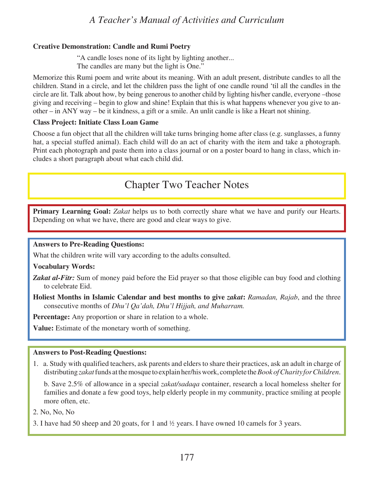#### **Creative Demonstration: Candle and Rumi Poetry**

 "A candle loses none of its light by lighting another... The candles are many but the light is One."

Memorize this Rumi poem and write about its meaning. With an adult present, distribute candles to all the children. Stand in a circle, and let the children pass the light of one candle round 'til all the candles in the circle are lit. Talk about how, by being generous to another child by lighting his/her candle, everyone –those giving and receiving – begin to glow and shine! Explain that this is what happens whenever you give to another – in ANY way – be it kindness, a gift or a smile. An unlit candle is like a Heart not shining.

#### **Class Project: Initiate Class Loan Game**

Choose a fun object that all the children will take turns bringing home after class (e.g. sunglasses, a funny hat, a special stuffed animal). Each child will do an act of charity with the item and take a photograph. Print each photograph and paste them into a class journal or on a poster board to hang in class, which includes a short paragraph about what each child did.

## Chapter Two Teacher Notes

**Primary Learning Goal:** *Zakat* helps us to both correctly share what we have and purify our Hearts. Depending on what we have, there are good and clear ways to give.

#### **Answers to Pre-Reading Questions:**

What the children write will vary according to the adults consulted.

#### **Vocabulary Words:**

- **Zakat al-Fitr:** Sum of money paid before the Eid prayer so that those eligible can buy food and clothing to celebrate Eid.
- **Holiest Months in Islamic Calendar and best months to give** *zakat***:** *Ramadan, Rajab*, and the three consecutive months of *Dhu'l Qa'dah, Dhu'l Hijjah, and Muharram.*

**Percentage:** Any proportion or share in relation to a whole.

**Value:** Estimate of the monetary worth of something.

#### **Answers to Post-Reading Questions:**

1. a. Study with qualified teachers, ask parents and elders to share their practices, ask an adult in charge of distributing *zakat* funds at the mosque to explain her/his work, complete the *Book of Charity for Children*.

b. Save 2.5% of allowance in a special *zakat/sadaqa* container, research a local homeless shelter for families and donate a few good toys, help elderly people in my community, practice smiling at people more often, etc.

2. No, No, No

3. I have had 50 sheep and 20 goats, for 1 and ½ years. I have owned 10 camels for 3 years.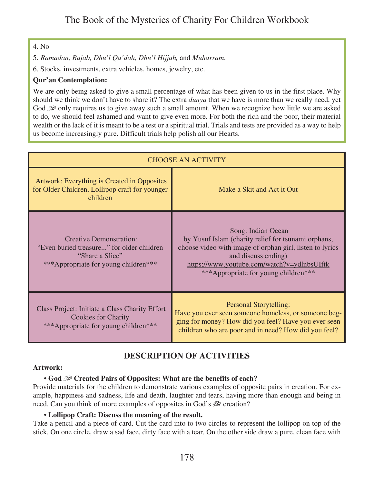#### 4. No

5. *Ramadan, Rajab, Dhu'l Qa'dah, Dhu'l Hijjah,* and *Muharram*.

6. Stocks, investments, extra vehicles, homes, jewelry, etc.

#### **Qur'an Contemplation:**

We are only being asked to give a small percentage of what has been given to us in the first place. Why should we think we don't have to share it? The extra *dunya* that we have is more than we really need, yet God solve requires us to give away such a small amount. When we recognize how little we are asked to do, we should feel ashamed and want to give even more. For both the rich and the poor, their material wealth or the lack of it is meant to be a test or a spiritual trial. Trials and tests are provided as a way to help us become increasingly pure. Difficult trials help polish all our Hearts.

| <b>CHOOSE AN ACTIVITY</b>                                                                                                              |                                                                                                                                                                                                                                                     |
|----------------------------------------------------------------------------------------------------------------------------------------|-----------------------------------------------------------------------------------------------------------------------------------------------------------------------------------------------------------------------------------------------------|
| Artwork: Everything is Created in Opposites<br>for Older Children, Lollipop craft for younger<br>children                              | Make a Skit and Act it Out                                                                                                                                                                                                                          |
| <b>Creative Demonstration:</b><br>"Even buried treasure" for older children<br>"Share a Slice"<br>***Appropriate for young children*** | Song: Indian Ocean<br>by Yusuf Islam (charity relief for tsunami orphans,<br>choose video with image of orphan girl, listen to lyrics<br>and discuss ending)<br>https://www.youtube.com/watch?v=ydlnbsUIftk<br>***Appropriate for young children*** |
| Class Project: Initiate a Class Charity Effort<br><b>Cookies for Charity</b><br>***Appropriate for young children***                   | <b>Personal Storytelling:</b><br>Have you ever seen someone homeless, or someone beg-<br>ging for money? How did you feel? Have you ever seen<br>children who are poor and in need? How did you feel?                                               |

### **DESCRIPTION OF ACTIVITIES**

#### **Artwork:**

#### **• God** u **Created Pairs of Opposites: What are the benefits of each?**

Provide materials for the children to demonstrate various examples of opposite pairs in creation. For example, happiness and sadness, life and death, laughter and tears, having more than enough and being in need. Can you think of more examples of opposites in God's  $\mathbb{R}^2$  creation?

#### **• Lollipop Craft: Discuss the meaning of the result.**

Take a pencil and a piece of card. Cut the card into to two circles to represent the lollipop on top of the stick. On one circle, draw a sad face, dirty face with a tear. On the other side draw a pure, clean face with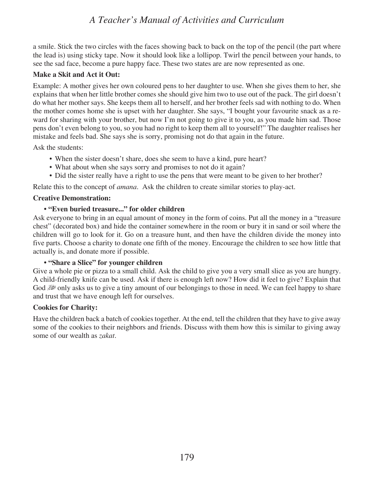a smile. Stick the two circles with the faces showing back to back on the top of the pencil (the part where the lead is) using sticky tape. Now it should look like a lollipop. Twirl the pencil between your hands, to see the sad face, become a pure happy face. These two states are are now represented as one.

#### **Make a Skit and Act it Out:**

Example: A mother gives her own coloured pens to her daughter to use. When she gives them to her, she explains that when her little brother comes she should give him two to use out of the pack. The girl doesn't do what her mother says. She keeps them all to herself, and her brother feels sad with nothing to do. When the mother comes home she is upset with her daughter. She says, "I bought your favourite snack as a reward for sharing with your brother, but now I'm not going to give it to you, as you made him sad. Those pens don't even belong to you, so you had no right to keep them all to yourself!" The daughter realises her mistake and feels bad. She says she is sorry, promising not do that again in the future.

Ask the students:

- When the sister doesn't share, does she seem to have a kind, pure heart?
- What about when she says sorry and promises to not do it again?
- Did the sister really have a right to use the pens that were meant to be given to her brother?

Relate this to the concept of *amana*. Ask the children to create similar stories to play-act.

#### **Creative Demonstration:**

#### **• "Even buried treasure..." for older children**

Ask everyone to bring in an equal amount of money in the form of coins. Put all the money in a "treasure chest" (decorated box) and hide the container somewhere in the room or bury it in sand or soil where the children will go to look for it. Go on a treasure hunt, and then have the children divide the money into five parts. Choose a charity to donate one fifth of the money. Encourage the children to see how little that actually is, and donate more if possible.

#### **• "Share a Slice" for younger children**

Give a whole pie or pizza to a small child. Ask the child to give you a very small slice as you are hungry. A child-friendly knife can be used. Ask if there is enough left now? How did it feel to give? Explain that God u only asks us to give a tiny amount of our belongings to those in need. We can feel happy to share and trust that we have enough left for ourselves.

#### **Cookies for Charity:**

Have the children back a batch of cookies together. At the end, tell the children that they have to give away some of the cookies to their neighbors and friends. Discuss with them how this is similar to giving away some of our wealth as *zakat*.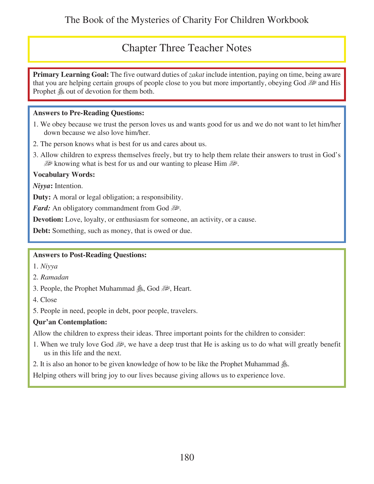## Chapter Three Teacher Notes

**Primary Learning Goal:** The five outward duties of *zakat* include intention, paying on time, being aware that you are helping certain groups of people close to you but more importantly, obeying God  $\mathbb{R}^2$  and His Prophet  $\&$  out of devotion for them both.

#### **Answers to Pre-Reading Questions:**

- 1. We obey because we trust the person loves us and wants good for us and we do not want to let him/her down because we also love him/her.
- 2. The person knows what is best for us and cares about us.
- 3. Allow children to express themselves freely, but try to help them relate their answers to trust in God's u knowing what is best for us and our wanting to please Him

#### **Vocabulary Words:**

*Niyya***:** Intention.

**Duty:** A moral or legal obligation; a responsibility.

*Fard:* An obligatory commandment from God  $\mathbb{R}^2$ .

**Devotion:** Love, loyalty, or enthusiasm for someone, an activity, or a cause.

**Debt:** Something, such as money, that is owed or due.

#### **Answers to Post-Reading Questions:**

- 1. *Niyya*
- 2. *Ramadan*
- 3. People, the Prophet Muhammad هر Sod, God, الشي الكلبة البابان S. People, the Prophet Muhammad
- 4. Close
- 5. People in need, people in debt, poor people, travelers.

#### **Qur'an Contemplation:**

Allow the children to express their ideas. Three important points for the children to consider:

- 1. When we truly love God  $\mathbb{R}^n$ , we have a deep trust that He is asking us to do what will greatly benefit us in this life and the next.
- 2. It is also an honor to be given knowledge of how to be like the Prophet Muhammad  $\mathcal{L}$ .

Helping others will bring joy to our lives because giving allows us to experience love.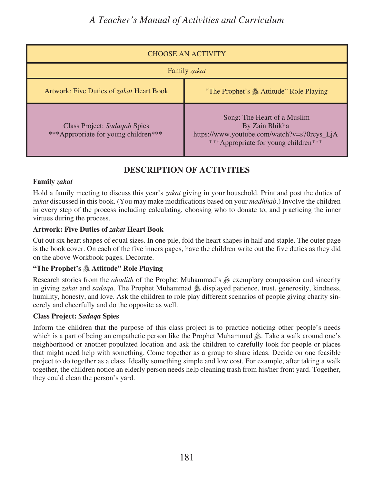| <b>CHOOSE AN ACTIVITY</b>                                            |                                                                                                                                      |
|----------------------------------------------------------------------|--------------------------------------------------------------------------------------------------------------------------------------|
| Family zakat                                                         |                                                                                                                                      |
| Artwork: Five Duties of zakat Heart Book                             | "The Prophet's & Attitude" Role Playing                                                                                              |
| Class Project: Sadaqah Spies<br>***Appropriate for young children*** | Song: The Heart of a Muslim<br>By Zain Bhikha<br>https://www.youtube.com/watch?v=s70rcys_LjA<br>***Appropriate for young children*** |

### **DESCRIPTION OF ACTIVITIES**

#### **Family** *zakat*

Hold a family meeting to discuss this year's *zakat* giving in your household. Print and post the duties of *zakat* discussed in this book. (You may make modifications based on your *madhhab*.) Involve the children in every step of the process including calculating, choosing who to donate to, and practicing the inner virtues during the process.

#### **Artwork: Five Duties of** *zakat* **Heart Book**

Cut out six heart shapes of equal sizes. In one pile, fold the heart shapes in half and staple. The outer page is the book cover. On each of the five inners pages, have the children write out the five duties as they did on the above Workbook pages. Decorate.

#### **"The Prophet's** s **Attitude" Role Playing**

Research stories from the *ahadith* of the Prophet Muhammad's  $\&$  exemplary compassion and sincerity in giving *zakat* and *sadaqa*. The Prophet Muhammad  $\triangleq$  displayed patience, trust, generosity, kindness, humility, honesty, and love. Ask the children to role play different scenarios of people giving charity sincerely and cheerfully and do the opposite as well.

#### **Class Project:** *Sadaqa* **Spies**

Inform the children that the purpose of this class project is to practice noticing other people's needs which is a part of being an empathetic person like the Prophet Muhammad  $\mathcal{E}$ . Take a walk around one's neighborhood or another populated location and ask the children to carefully look for people or places that might need help with something. Come together as a group to share ideas. Decide on one feasible project to do together as a class. Ideally something simple and low cost. For example, after taking a walk together, the children notice an elderly person needs help cleaning trash from his/her front yard. Together, they could clean the person's yard.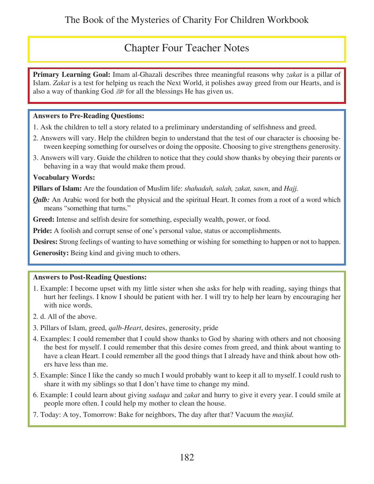## Chapter Four Teacher Notes

**Primary Learning Goal:** Imam al-Ghazali describes three meaningful reasons why *zakat* is a pillar of Islam. *Zakat* is a test for helping us reach the Next World, it polishes away greed from our Hearts, and is also a way of thanking God  $\mathbb{R}^n$  for all the blessings He has given us.

#### **Answers to Pre-Reading Questions:**

- 1. Ask the children to tell a story related to a preliminary understanding of selfishness and greed.
- 2. Answers will vary. Help the children begin to understand that the test of our character is choosing between keeping something for ourselves or doing the opposite. Choosing to give strengthens generosity.
- 3. Answers will vary. Guide the children to notice that they could show thanks by obeying their parents or behaving in a way that would make them proud.

#### **Vocabulary Words:**

**Pillars of Islam:** Are the foundation of Muslim life: *shahadah, salah, zakat, sawn*, and *Hajj.*

*Qalb:* An Arabic word for both the physical and the spiritual Heart. It comes from a root of a word which means "something that turns."

**Greed:** Intense and selfish desire for something, especially wealth, power, or food.

**Pride:** A foolish and corrupt sense of one's personal value, status or accomplishments.

**Desires:** Strong feelings of wanting to have something or wishing for something to happen or not to happen.

**Generosity:** Being kind and giving much to others.

#### **Answers to Post-Reading Questions:**

- 1. Example: I become upset with my little sister when she asks for help with reading, saying things that hurt her feelings. I know I should be patient with her. I will try to help her learn by encouraging her with nice words.
- 2. d. All of the above.
- 3. Pillars of Islam, greed, *qalb-Heart*, desires, generosity, pride
- 4. Examples: I could remember that I could show thanks to God by sharing with others and not choosing the best for myself. I could remember that this desire comes from greed, and think about wanting to have a clean Heart. I could remember all the good things that I already have and think about how others have less than me.
- 5. Example: Since I like the candy so much I would probably want to keep it all to myself. I could rush to share it with my siblings so that I don't have time to change my mind.
- 6. Example: I could learn about giving *sadaqa* and *zakat* and hurry to give it every year. I could smile at people more often. I could help my mother to clean the house.
- 7. Today: A toy, Tomorrow: Bake for neighbors, The day after that? Vacuum the *masjid.*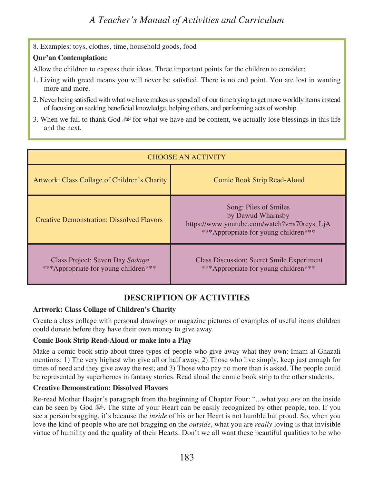8. Examples: toys, clothes, time, household goods, food

#### **Qur'an Contemplation:**

Allow the children to express their ideas. Three important points for the children to consider:

- 1. Living with greed means you will never be satisfied. There is no end point. You are lost in wanting more and more.
- 2. Never being satisfied with what we have makes us spend all of our time trying to get more worldly items instead of focusing on seeking beneficial knowledge, helping others, and performing acts of worship.
- 3. When we fail to thank God  $\mathbb{R}^2$  for what we have and be content, we actually lose blessings in this life and the next.

| <b>CHOOSE AN ACTIVITY</b>                                               |                                                                                                                                   |
|-------------------------------------------------------------------------|-----------------------------------------------------------------------------------------------------------------------------------|
| Artwork: Class Collage of Children's Charity                            | <b>Comic Book Strip Read-Aloud</b>                                                                                                |
| <b>Creative Demonstration: Dissolved Flavors</b>                        | Song: Piles of Smiles<br>by Dawud Wharnsby<br>https://www.youtube.com/watch?v=s70rcys_LjA<br>***Appropriate for young children*** |
| Class Project: Seven Day Sadaga<br>***Appropriate for young children*** | <b>Class Discussion: Secret Smile Experiment</b><br>***Appropriate for young children***                                          |

### **DESCRIPTION OF ACTIVITIES**

#### **Artwork: Class Collage of Children's Charity**

Create a class collage with personal drawings or magazine pictures of examples of useful items children could donate before they have their own money to give away.

#### **Comic Book Strip Read-Aloud or make into a Play**

Make a comic book strip about three types of people who give away what they own: Imam al-Ghazali mentions: 1) The very highest who give all or half away; 2) Those who live simply, keep just enough for times of need and they give away the rest; and 3) Those who pay no more than is asked. The people could be represented by superheroes in fantasy stories. Read aloud the comic book strip to the other students.

#### **Creative Demonstration: Dissolved Flavors**

Re-read Mother Haajar's paragraph from the beginning of Chapter Four: "...what you *are* on the inside can be seen by God  $\mathbb{R}^2$ . The state of your Heart can be easily recognized by other people, too. If you see a person bragging, it's because the *inside* of his or her Heart is not humble but proud. So, when you love the kind of people who are not bragging on the *outside*, what you are *really* loving is that invisible virtue of humility and the quality of their Hearts. Don't we all want these beautiful qualities to be who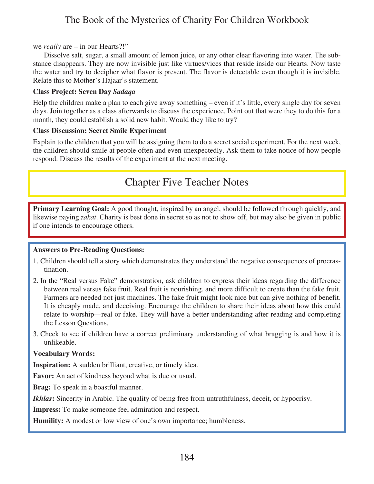#### we *really* are – in our Hearts?!"

Dissolve salt, sugar, a small amount of lemon juice, or any other clear flavoring into water. The substance disappears. They are now invisible just like virtues/vices that reside inside our Hearts. Now taste the water and try to decipher what flavor is present. The flavor is detectable even though it is invisible. Relate this to Mother's Hajaar's statement.

#### **Class Project: Seven Day** *Sadaqa*

Help the children make a plan to each give away something – even if it's little, every single day for seven days. Join together as a class afterwards to discuss the experience. Point out that were they to do this for a month, they could establish a solid new habit. Would they like to try?

#### **Class Discussion: Secret Smile Experiment**

Explain to the children that you will be assigning them to do a secret social experiment. For the next week, the children should smile at people often and even unexpectedly. Ask them to take notice of how people respond. Discuss the results of the experiment at the next meeting.

## Chapter Five Teacher Notes

**Primary Learning Goal:** A good thought, inspired by an angel, should be followed through quickly, and likewise paying *zakat*. Charity is best done in secret so as not to show off, but may also be given in public if one intends to encourage others.

#### **Answers to Pre-Reading Questions:**

- 1. Children should tell a story which demonstrates they understand the negative consequences of procrastination.
- 2. In the "Real versus Fake" demonstration, ask children to express their ideas regarding the difference between real versus fake fruit. Real fruit is nourishing, and more difficult to create than the fake fruit. Farmers are needed not just machines. The fake fruit might look nice but can give nothing of benefit. It is cheaply made, and deceiving. Encourage the children to share their ideas about how this could relate to worship—real or fake. They will have a better understanding after reading and completing the Lesson Questions.
- 3. Check to see if children have a correct preliminary understanding of what bragging is and how it is unlikeable.

#### **Vocabulary Words:**

**Inspiration:** A sudden brilliant, creative, or timely idea.

**Favor:** An act of kindness beyond what is due or usual.

**Brag:** To speak in a boastful manner.

*Ikhlas***:** Sincerity in Arabic. The quality of being free from untruthfulness, deceit, or hypocrisy.

**Impress:** To make someone feel admiration and respect.

**Humility:** A modest or low view of one's own importance; humbleness.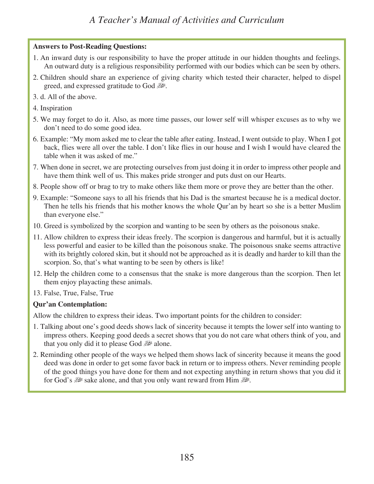#### **Answers to Post-Reading Questions:**

- 1. An inward duty is our responsibility to have the proper attitude in our hidden thoughts and feelings. An outward duty is a religious responsibility performed with our bodies which can be seen by others.
- 2. Children should share an experience of giving charity which tested their character, helped to dispel greed, and expressed gratitude to God  $\mathbb{R}^2$ .
- 3. d. All of the above.
- 4. Inspiration
- 5. We may forget to do it. Also, as more time passes, our lower self will whisper excuses as to why we don't need to do some good idea.
- 6. Example: "My mom asked me to clear the table after eating. Instead, I went outside to play. When I got back, flies were all over the table. I don't like flies in our house and I wish I would have cleared the table when it was asked of me."
- 7. When done in secret, we are protecting ourselves from just doing it in order to impress other people and have them think well of us. This makes pride stronger and puts dust on our Hearts.
- 8. People show off or brag to try to make others like them more or prove they are better than the other.
- 9. Example: "Someone says to all his friends that his Dad is the smartest because he is a medical doctor. Then he tells his friends that his mother knows the whole Qur'an by heart so she is a better Muslim than everyone else."
- 10. Greed is symbolized by the scorpion and wanting to be seen by others as the poisonous snake.
- 11. Allow children to express their ideas freely. The scorpion is dangerous and harmful, but it is actually less powerful and easier to be killed than the poisonous snake. The poisonous snake seems attractive with its brightly colored skin, but it should not be approached as it is deadly and harder to kill than the scorpion. So, that's what wanting to be seen by others is like!
- 12. Help the children come to a consensus that the snake is more dangerous than the scorpion. Then let them enjoy playacting these animals.
- 13. False, True, False, True

#### **Qur'an Contemplation:**

Allow the children to express their ideas. Two important points for the children to consider:

- 1. Talking about one's good deeds shows lack of sincerity because it tempts the lower self into wanting to impress others. Keeping good deeds a secret shows that you do not care what others think of you, and that you only did it to please God  $\mathbb{R}^2$  alone.
- 2. Reminding other people of the ways we helped them shows lack of sincerity because it means the good deed was done in order to get some favor back in return or to impress others. Never reminding people of the good things you have done for them and not expecting anything in return shows that you did it for God's  $\mathbb{R}^n$  sake alone, and that you only want reward from Him  $\mathbb{R}^n$ .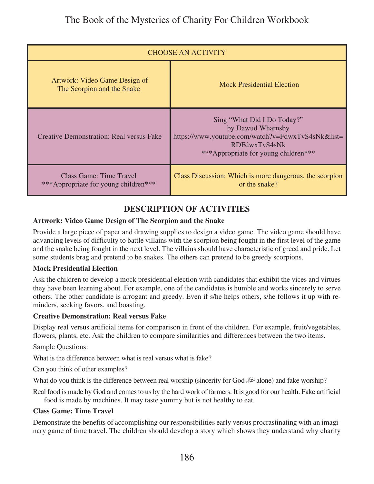| <b>CHOOSE AN ACTIVITY</b>                                       |                                                                                                                                                                |
|-----------------------------------------------------------------|----------------------------------------------------------------------------------------------------------------------------------------------------------------|
| Artwork: Video Game Design of<br>The Scorpion and the Snake     | <b>Mock Presidential Election</b>                                                                                                                              |
| Creative Demonstration: Real versus Fake                        | Sing "What Did I Do Today?"<br>by Dawud Wharnsby<br>https://www.youtube.com/watch?v=FdwxTvS4sNk&list=<br>RDFdwxTyS4sNk<br>***Appropriate for young children*** |
| Class Game: Time Travel<br>***Appropriate for young children*** | Class Discussion: Which is more dangerous, the scorpion<br>or the snake?                                                                                       |

### **DESCRIPTION OF ACTIVITIES**

#### **Artwork: Video Game Design of The Scorpion and the Snake**

Provide a large piece of paper and drawing supplies to design a video game. The video game should have advancing levels of difficulty to battle villains with the scorpion being fought in the first level of the game and the snake being fought in the next level. The villains should have characteristic of greed and pride. Let some students brag and pretend to be snakes. The others can pretend to be greedy scorpions.

#### **Mock Presidential Election**

Ask the children to develop a mock presidential election with candidates that exhibit the vices and virtues they have been learning about. For example, one of the candidates is humble and works sincerely to serve others. The other candidate is arrogant and greedy. Even if s/he helps others, s/he follows it up with reminders, seeking favors, and boasting.

#### **Creative Demonstration: Real versus Fake**

Display real versus artificial items for comparison in front of the children. For example, fruit/vegetables, flowers, plants, etc. Ask the children to compare similarities and differences between the two items.

Sample Questions:

What is the difference between what is real versus what is fake?

Can you think of other examples?

What do you think is the difference between real worship (sincerity for God  $\mathbb{R}^2$  alone) and fake worship?

Real food is made by God and comes to us by the hard work of farmers. It is good for our health. Fake artificial food is made by machines. It may taste yummy but is not healthy to eat.

#### **Class Game: Time Travel**

Demonstrate the benefits of accomplishing our responsibilities early versus procrastinating with an imaginary game of time travel. The children should develop a story which shows they understand why charity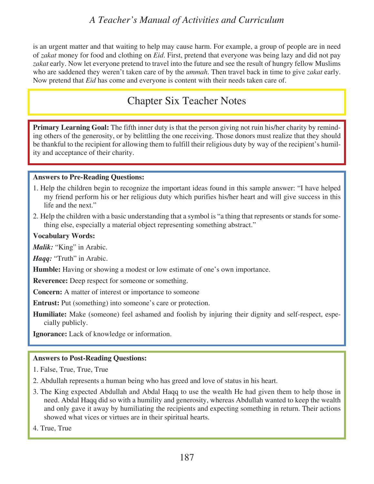is an urgent matter and that waiting to help may cause harm. For example, a group of people are in need of *zakat* money for food and clothing on *Eid*. First, pretend that everyone was being lazy and did not pay *zakat* early. Now let everyone pretend to travel into the future and see the result of hungry fellow Muslims who are saddened they weren't taken care of by the *ummah*. Then travel back in time to give *zakat* early. Now pretend that *Eid* has come and everyone is content with their needs taken care of.

## Chapter Six Teacher Notes

**Primary Learning Goal:** The fifth inner duty is that the person giving not ruin his/her charity by reminding others of the generosity, or by belittling the one receiving. Those donors must realize that they should be thankful to the recipient for allowing them to fulfill their religious duty by way of the recipient's humility and acceptance of their charity.

#### **Answers to Pre-Reading Questions:**

- 1. Help the children begin to recognize the important ideas found in this sample answer: "I have helped my friend perform his or her religious duty which purifies his/her heart and will give success in this life and the next."
- 2. Help the children with a basic understanding that a symbol is "a thing that represents or stands for something else, especially a material object representing something abstract."

#### **Vocabulary Words:**

*Malik:* "King" in Arabic.

*Haqq:* "Truth" in Arabic.

**Humble:** Having or showing a modest or low estimate of one's own importance.

**Reverence:** Deep respect for someone or something.

**Concern:** A matter of interest or importance to someone

**Entrust:** Put (something) into some one's care or protection.

**Humiliate:** Make (someone) feel ashamed and foolish by injuring their dignity and self-respect, especially publicly.

**Ignorance:** Lack of knowledge or information.

#### **Answers to Post-Reading Questions:**

- 1. False, True, True, True
- 2. Abdullah represents a human being who has greed and love of status in his heart.
- 3. The King expected Abdullah and Abdal Haqq to use the wealth He had given them to help those in need. Abdal Haqq did so with a humility and generosity, whereas Abdullah wanted to keep the wealth and only gave it away by humiliating the recipients and expecting something in return. Their actions showed what vices or virtues are in their spiritual hearts.

4. True, True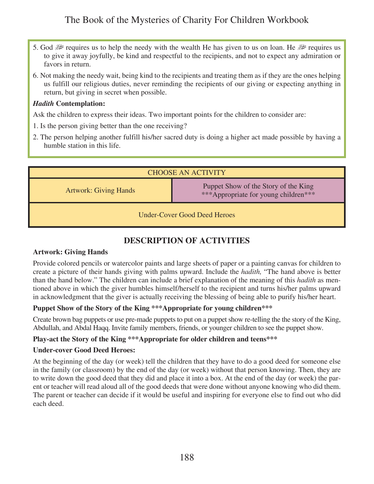- 5. God  $\mathbb{R}^n$  requires us to help the needy with the wealth He has given to us on loan. He  $\mathbb{R}^n$  requires us to give it away joyfully, be kind and respectful to the recipients, and not to expect any admiration or favors in return.
- 6. Not making the needy wait, being kind to the recipients and treating them as if they are the ones helping us fulfill our religious duties, never reminding the recipients of our giving or expecting anything in return, but giving in secret when possible.

#### *Hadith* **Contemplation:**

Ask the children to express their ideas. Two important points for the children to consider are:

- 1. Is the person giving better than the one receiving?
- 2. The person helping another fulfill his/her sacred duty is doing a higher act made possible by having a humble station in this life.

| <b>CHOOSE AN ACTIVITY</b>           |                                                                              |
|-------------------------------------|------------------------------------------------------------------------------|
| <b>Artwork: Giving Hands</b>        | Puppet Show of the Story of the King<br>***Appropriate for young children*** |
| <b>Under-Cover Good Deed Heroes</b> |                                                                              |

### **DESCRIPTION OF ACTIVITIES**

#### **Artwork: Giving Hands**

Provide colored pencils or watercolor paints and large sheets of paper or a painting canvas for children to create a picture of their hands giving with palms upward. Include the *hadith,* "The hand above is better than the hand below." The children can include a brief explanation of the meaning of this *hadith* as mentioned above in which the giver humbles himself/herself to the recipient and turns his/her palms upward in acknowledgment that the giver is actually receiving the blessing of being able to purify his/her heart.

#### **Puppet Show of the Story of the King \*\*\*Appropriate for young children\*\*\***

Create brown bag puppets or use pre-made puppets to put on a puppet show re-telling the the story of the King, Abdullah, and Abdal Haqq. Invite family members, friends, or younger children to see the puppet show.

#### **Play-act the Story of the King \*\*\*Appropriate for older children and teens\*\*\***

#### **Under-cover Good Deed Heroes:**

At the beginning of the day (or week) tell the children that they have to do a good deed for someone else in the family (or classroom) by the end of the day (or week) without that person knowing. Then, they are to write down the good deed that they did and place it into a box. At the end of the day (or week) the parent or teacher will read aloud all of the good deeds that were done without anyone knowing who did them. The parent or teacher can decide if it would be useful and inspiring for everyone else to find out who did each deed.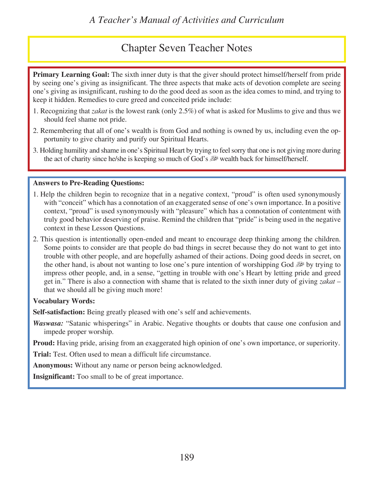## Chapter Seven Teacher Notes

**Primary Learning Goal:** The sixth inner duty is that the giver should protect himself/herself from pride by seeing one's giving as insignificant. The three aspects that make acts of devotion complete are seeing one's giving as insignificant, rushing to do the good deed as soon as the idea comes to mind, and trying to keep it hidden. Remedies to cure greed and conceited pride include:

- 1. Recognizing that *zakat* is the lowest rank (only 2.5%) of what is asked for Muslims to give and thus we should feel shame not pride.
- 2. Remembering that all of one's wealth is from God and nothing is owned by us, including even the opportunity to give charity and purify our Spiritual Hearts.
- 3. Holding humility and shame in one's Spiritual Heart by trying to feel sorry that one is not giving more during the act of charity since he/she is keeping so much of God's use wealth back for himself/herself.

#### **Answers to Pre-Reading Questions:**

- 1. Help the children begin to recognize that in a negative context, "proud" is often used synonymously with "conceit" which has a connotation of an exaggerated sense of one's own importance. In a positive context, "proud" is used synonymously with "pleasure" which has a connotation of contentment with truly good behavior deserving of praise. Remind the children that "pride" is being used in the negative context in these Lesson Questions.
- 2. This question is intentionally open-ended and meant to encourage deep thinking among the children. Some points to consider are that people do bad things in secret because they do not want to get into trouble with other people, and are hopefully ashamed of their actions. Doing good deeds in secret, on the other hand, is about not wanting to lose one's pure intention of worshipping God  $\mathbb{R}^3$  by trying to impress other people, and, in a sense, "getting in trouble with one's Heart by letting pride and greed get in." There is also a connection with shame that is related to the sixth inner duty of giving *zakat* – that we should all be giving much more!

#### **Vocabulary Words:**

**Self-satisfaction:** Being greatly pleased with one's self and achievements.

*Waswasa:* "Satanic whisperings" in Arabic. Negative thoughts or doubts that cause one confusion and impede proper worship.

**Proud:** Having pride, arising from an exaggerated high opinion of one's own importance, or superiority.

**Trial:** Test. Often used to mean a difficult life circumstance.

**Anonymous:** Without any name or person being acknowledged.

**Insignificant:** Too small to be of great importance.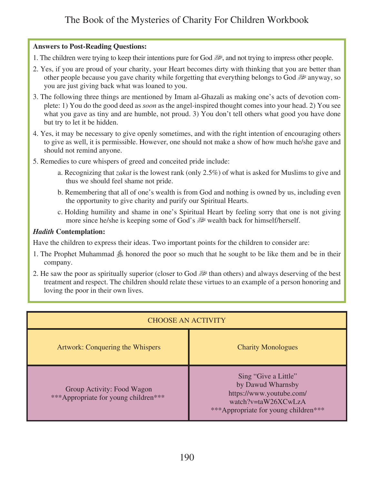#### **Answers to Post-Reading Questions:**

- 1. The children were trying to keep their intentions pure for God  $\mathbb{R}^2$ , and not trying to impress other people.
- 2. Yes, if you are proud of your charity, your Heart becomes dirty with thinking that you are better than other people because you gave charity while forgetting that everything belongs to God  $\mathbb{R}^2$  anyway, so you are just giving back what was loaned to you.
- 3. The following three things are mentioned by Imam al-Ghazali as making one's acts of devotion complete: 1) You do the good deed as *soon* as the angel-inspired thought comes into your head. 2) You see what you gave as tiny and are humble, not proud. 3) You don't tell others what good you have done but try to let it be hidden.
- 4. Yes, it may be necessary to give openly sometimes, and with the right intention of encouraging others to give as well, it is permissible. However, one should not make a show of how much he/she gave and should not remind anyone.
- 5. Remedies to cure whispers of greed and conceited pride include:
	- a. Recognizing that *zakat* is the lowest rank (only 2.5%) of what is asked for Muslims to give and thus we should feel shame not pride.
	- b. Remembering that all of one's wealth is from God and nothing is owned by us, including even the opportunity to give charity and purify our Spiritual Hearts.
	- c. Holding humility and shame in one's Spiritual Heart by feeling sorry that one is not giving more since he/she is keeping some of God's  $\mathbb{R}^n$  wealth back for himself/herself.

#### *Hadith* **Contemplation:**

Have the children to express their ideas. Two important points for the children to consider are:

- 1. The Prophet Muhammad  $\&$  honored the poor so much that he sought to be like them and be in their company.
- 2. He saw the poor as spiritually superior (closer to God  $\mathbb{R}^n$  than others) and always deserving of the best treatment and respect. The children should relate these virtues to an example of a person honoring and loving the poor in their own lives.

| <b>CHOOSE AN ACTIVITY</b>                                          |                                                                                                                                      |
|--------------------------------------------------------------------|--------------------------------------------------------------------------------------------------------------------------------------|
| Artwork: Conquering the Whispers                                   | <b>Charity Monologues</b>                                                                                                            |
| Group Activity: Food Wagon<br>***Appropriate for young children*** | Sing "Give a Little"<br>by Dawud Wharnsby<br>https://www.youtube.com/<br>watch?v=taW26XCwLzA<br>***Appropriate for young children*** |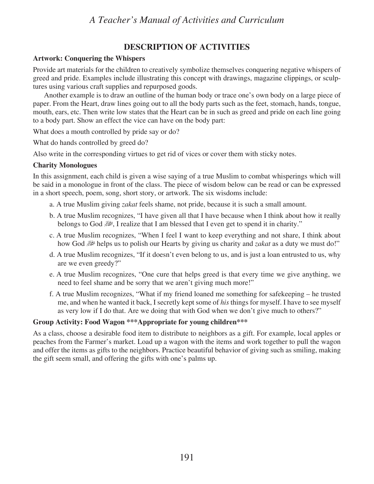#### **DESCRIPTION OF ACTIVITIES**

#### **Artwork: Conquering the Whispers**

Provide art materials for the children to creatively symbolize themselves conquering negative whispers of greed and pride. Examples include illustrating this concept with drawings, magazine clippings, or sculptures using various craft supplies and repurposed goods.

Another example is to draw an outline of the human body or trace one's own body on a large piece of paper. From the Heart, draw lines going out to all the body parts such as the feet, stomach, hands, tongue, mouth, ears, etc. Then write low states that the Heart can be in such as greed and pride on each line going to a body part. Show an effect the vice can have on the body part:

What does a mouth controlled by pride say or do?

What do hands controlled by greed do?

Also write in the corresponding virtues to get rid of vices or cover them with sticky notes.

#### **Charity Monologues**

In this assignment, each child is given a wise saying of a true Muslim to combat whisperings which will be said in a monologue in front of the class. The piece of wisdom below can be read or can be expressed in a short speech, poem, song, short story, or artwork. The six wisdoms include:

- a. A true Muslim giving *zakat* feels shame, not pride, because it is such a small amount.
- b. A true Muslim recognizes, "I have given all that I have because when I think about how it really **belongs to God**  $\mathbb{R}^n$ **, I realize that I am blessed that I even get to spend it in charity."**
- c. A true Muslim recognizes, "When I feel I want to keep everything and not share, I think about how God  $\mathbb{R}^n$  helps us to polish our Hearts by giving us charity and *zakat* as a duty we must do!"
- d. A true Muslim recognizes, "If it doesn't even belong to us, and is just a loan entrusted to us, why are we even greedy?"
- e. A true Muslim recognizes, "One cure that helps greed is that every time we give anything, we need to feel shame and be sorry that we aren't giving much more!"
- f. A true Muslim recognizes, "What if my friend loaned me something for safekeeping he trusted me, and when he wanted it back, I secretly kept some of *his* things for myself. I have to see myself as very low if I do that. Are we doing that with God when we don't give much to others?"

#### **Group Activity: Food Wagon \*\*\*Appropriate for young children\*\*\***

As a class, choose a desirable food item to distribute to neighbors as a gift. For example, local apples or peaches from the Farmer's market. Load up a wagon with the items and work together to pull the wagon and offer the items as gifts to the neighbors. Practice beautiful behavior of giving such as smiling, making the gift seem small, and offering the gifts with one's palms up.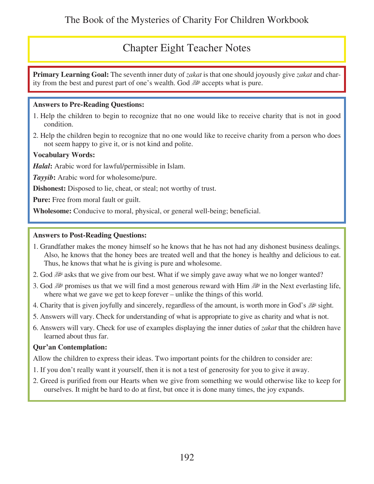## Chapter Eight Teacher Notes

**Primary Learning Goal:** The seventh inner duty of *zakat* is that one should joyously give *zakat* and charity from the best and purest part of one's wealth. God  $\mathbb{R}^2$  accepts what is pure.

#### **Answers to Pre-Reading Questions:**

- 1. Help the children to begin to recognize that no one would like to receive charity that is not in good condition.
- 2. Help the children begin to recognize that no one would like to receive charity from a person who does not seem happy to give it, or is not kind and polite.

#### **Vocabulary Words:**

*Halal***:** Arabic word for lawful/permissible in Islam.

*Tayyib***:** Arabic word for wholesome/pure.

**Dishonest:** Disposed to lie, cheat, or steal; not worthy of trust.

**Pure:** Free from moral fault or guilt.

**Wholesome:** Conducive to moral, physical, or general well-being; beneficial.

#### **Answers to Post-Reading Questions:**

- 1. Grandfather makes the money himself so he knows that he has not had any dishonest business dealings. Also, he knows that the honey bees are treated well and that the honey is healthy and delicious to eat. Thus, he knows that what he is giving is pure and wholesome.
- 2. God  $\mathbb{R}^2$  asks that we give from our best. What if we simply gave away what we no longer wanted?
- 3. God  $\mathbb{R}^n$  promises us that we will find a most generous reward with Him  $\mathbb{R}^n$  in the Next everlasting life, where what we gave we get to keep forever – unlike the things of this world.
- 4. Charity that is given joyfully and sincerely, regardless of the amount, is worth more in God's  $\mathbb{R}^3$  sight.
- 5. Answers will vary. Check for understanding of what is appropriate to give as charity and what is not.
- 6. Answers will vary. Check for use of examples displaying the inner duties of *zakat* that the children have learned about thus far.

#### **Qur'an Contemplation:**

Allow the children to express their ideas. Two important points for the children to consider are:

- 1. If you don't really want it yourself, then it is not a test of generosity for you to give it away.
- 2. Greed is purified from our Hearts when we give from something we would otherwise like to keep for ourselves. It might be hard to do at first, but once it is done many times, the joy expands.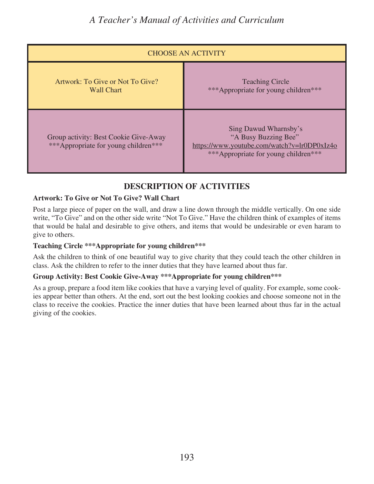| <b>CHOOSE AN ACTIVITY</b>                                                     |                                                                                                                                      |
|-------------------------------------------------------------------------------|--------------------------------------------------------------------------------------------------------------------------------------|
| Artwork: To Give or Not To Give?<br><b>Wall Chart</b>                         | <b>Teaching Circle</b><br>***Appropriate for young children***                                                                       |
| Group activity: Best Cookie Give-Away<br>***Appropriate for young children*** | Sing Dawud Wharnsby's<br>"A Busy Buzzing Bee"<br>https://www.youtube.com/watch?v=lr0DP0xIz4o<br>***Appropriate for young children*** |

### **DESCRIPTION OF ACTIVITIES**

#### **Artwork: To Give or Not To Give? Wall Chart**

Post a large piece of paper on the wall, and draw a line down through the middle vertically. On one side write, "To Give" and on the other side write "Not To Give." Have the children think of examples of items that would be halal and desirable to give others, and items that would be undesirable or even haram to give to others.

#### **Teaching Circle \*\*\*Appropriate for young children\*\*\***

Ask the children to think of one beautiful way to give charity that they could teach the other children in class. Ask the children to refer to the inner duties that they have learned about thus far.

#### **Group Activity: Best Cookie Give-Away \*\*\*Appropriate for young children\*\*\***

As a group, prepare a food item like cookies that have a varying level of quality. For example, some cookies appear better than others. At the end, sort out the best looking cookies and choose someone not in the class to receive the cookies. Practice the inner duties that have been learned about thus far in the actual giving of the cookies.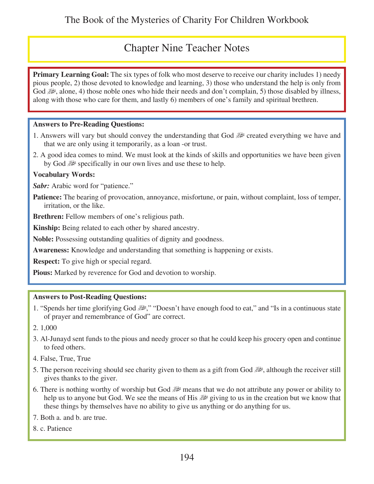## Chapter Nine Teacher Notes

**Primary Learning Goal:** The six types of folk who most deserve to receive our charity includes 1) needy pious people, 2) those devoted to knowledge and learning, 3) those who understand the help is only from God  $\mathcal{L}$ , alone, 4) those noble ones who hide their needs and don't complain, 5) those disabled by illness, along with those who care for them, and lastly 6) members of one's family and spiritual brethren.

#### **Answers to Pre-Reading Questions:**

- 1. Answers will vary but should convey the understanding that God  $\mathbb{R}^2$  created everything we have and that we are only using it temporarily, as a loan -or trust.
- 2. A good idea comes to mind. We must look at the kinds of skills and opportunities we have been given by God  $\mathbb{R}^n$  specifically in our own lives and use these to help.

#### **Vocabulary Words:**

*Sabr:* Arabic word for "patience."

Patience: The bearing of provocation, annoyance, misfortune, or pain, without complaint, loss of temper, irritation, or the like.

**Brethren:** Fellow members of one's religious path.

**Kinship:** Being related to each other by shared ancestry.

**Noble:** Possessing outstanding qualities of dignity and goodness.

**Awareness:** Knowledge and understanding that something is happening or exists.

**Respect:** To give high or special regard.

**Pious:** Marked by reverence for God and devotion to worship.

#### **Answers to Post-Reading Questions:**

- 1. "Spends her time glorifying God  $\mathbb{R}^n$ ," "Doesn't have enough food to eat," and "Is in a continuous state of prayer and remembrance of God" are correct.
- 2. 1,000
- 3. Al-Junayd sent funds to the pious and needy grocer so that he could keep his grocery open and continue to feed others.
- 4. False, True, True
- 5. The person receiving should see charity given to them as a gift from God  $\mathbb{R}$ , although the receiver still gives thanks to the giver.
- 6. There is nothing worthy of worship but God  $\mathbb{R}^n$  means that we do not attribute any power or ability to help us to anyone but God. We see the means of His  $\mathbb{R}^2$  giving to us in the creation but we know that these things by themselves have no ability to give us anything or do anything for us.

7. Both a. and b. are true.

8. c. Patience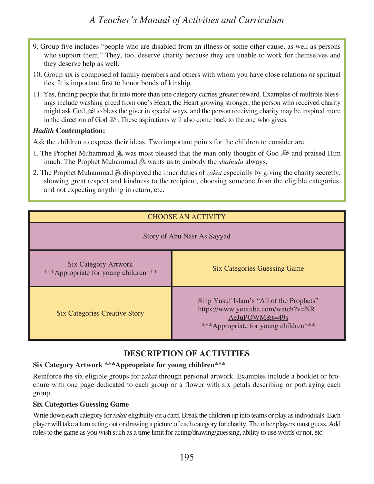- 9. Group five includes "people who are disabled from an illness or some other cause, as well as persons who support them." They, too, deserve charity because they are unable to work for themselves and they deserve help as well.
- 10. Group six is composed of family members and others with whom you have close relations or spiritual ties. It is important first to honor bonds of kinship.
- 11. Yes, finding people that fit into more than one category carries greater reward. Examples of multiple blessings include washing greed from one's Heart, the Heart growing stronger, the person who received charity to bless the giver in special ways, and the person receiving charity may be inspired more in the direction of God  $\gg$ . These aspirations will also come back to the one who gives.

#### *Hadith* **Contemplation:**

Ask the children to express their ideas. Two important points for the children to consider are:

- 1. The Prophet Muhammad  $\&$  was most pleased that the man only thought of God  $\&$  and praised Him much. The Prophet Muhammad  $\&$  wants us to embody the *shahada* always.
- 2. The Prophet Muhammad  $\triangleq$  displayed the inner duties of *zakat* especially by giving the charity secretly, showing great respect and kindness to the recipient, choosing someone from the eligible categories, and not expecting anything in return, etc.

| <b>CHOOSE AN ACTIVITY</b>                                           |                                                                                                                                           |
|---------------------------------------------------------------------|-------------------------------------------------------------------------------------------------------------------------------------------|
| Story of Abu Nasr As Sayyad                                         |                                                                                                                                           |
| <b>Six Category Artwork</b><br>***Appropriate for young children*** | <b>Six Categories Guessing Game</b>                                                                                                       |
| <b>Six Categories Creative Story</b>                                | Sing Yusuf Islam's "All of the Prophets"<br>https://www.youtube.com/watch?v=NR<br>AeJuPOWM&t=49s<br>*** Appropriate for young children*** |

### **DESCRIPTION OF ACTIVITIES**

#### **Six Category Artwork \*\*\*Appropriate for young children\*\*\***

Reinforce the six eligible groups for *zakat* through personal artwork. Examples include a booklet or brochure with one page dedicated to each group or a flower with six petals describing or portraying each group.

#### **Six Categories Guessing Game**

Write down each category for *zakat* eligibility on a card. Break the children up into teams or play as individuals. Each player will take a turn acting out or drawing a picture of each category for charity. The other players must guess. Add rules to the game as you wish such as a time limit for acting/drawing/guessing, ability to use words or not, etc.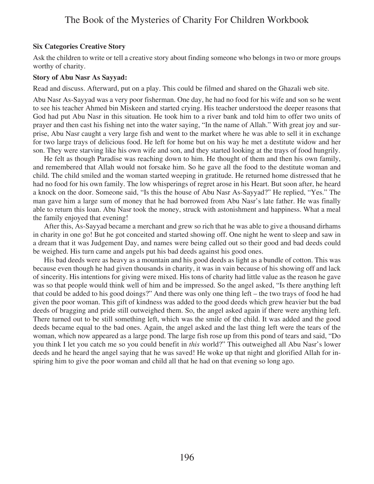#### **Six Categories Creative Story**

Ask the children to write or tell a creative story about finding someone who belongs in two or more groups worthy of charity.

#### **Story of Abu Nasr As Sayyad:**

Read and discuss. Afterward, put on a play. This could be filmed and shared on the Ghazali web site.

Abu Nasr As-Sayyad was a very poor fisherman. One day, he had no food for his wife and son so he went to see his teacher Ahmed bin Miskeen and started crying. His teacher understood the deeper reasons that God had put Abu Nasr in this situation. He took him to a river bank and told him to offer two units of prayer and then cast his fishing net into the water saying, "In the name of Allah." With great joy and surprise, Abu Nasr caught a very large fish and went to the market where he was able to sell it in exchange for two large trays of delicious food. He left for home but on his way he met a destitute widow and her son. They were starving like his own wife and son, and they started looking at the trays of food hungrily.

He felt as though Paradise was reaching down to him. He thought of them and then his own family, and remembered that Allah would not forsake him. So he gave all the food to the destitute woman and child. The child smiled and the woman started weeping in gratitude. He returned home distressed that he had no food for his own family. The low whisperings of regret arose in his Heart. But soon after, he heard a knock on the door. Someone said, "Is this the house of Abu Nasr As-Sayyad?" He replied, "Yes." The man gave him a large sum of money that he had borrowed from Abu Nasr's late father. He was finally able to return this loan. Abu Nasr took the money, struck with astonishment and happiness. What a meal the family enjoyed that evening!

After this, As-Sayyad became a merchant and grew so rich that he was able to give a thousand dirhams in charity in one go! But he got conceited and started showing off. One night he went to sleep and saw in a dream that it was Judgement Day, and names were being called out so their good and bad deeds could be weighed. His turn came and angels put his bad deeds against his good ones.

His bad deeds were as heavy as a mountain and his good deeds as light as a bundle of cotton. This was because even though he had given thousands in charity, it was in vain because of his showing off and lack of sincerity. His intentions for giving were mixed. His tons of charity had little value as the reason he gave was so that people would think well of him and be impressed. So the angel asked, "Is there anything left that could be added to his good doings?" And there was only one thing left – the two trays of food he had given the poor woman. This gift of kindness was added to the good deeds which grew heavier but the bad deeds of bragging and pride still outweighed them. So, the angel asked again if there were anything left. There turned out to be still something left, which was the smile of the child. It was added and the good deeds became equal to the bad ones. Again, the angel asked and the last thing left were the tears of the woman, which now appeared as a large pond. The large fish rose up from this pond of tears and said, "Do you think I let you catch me so you could benefit in *this* world?" This outweighed all Abu Nasr's lower deeds and he heard the angel saying that he was saved! He woke up that night and glorified Allah for inspiring him to give the poor woman and child all that he had on that evening so long ago.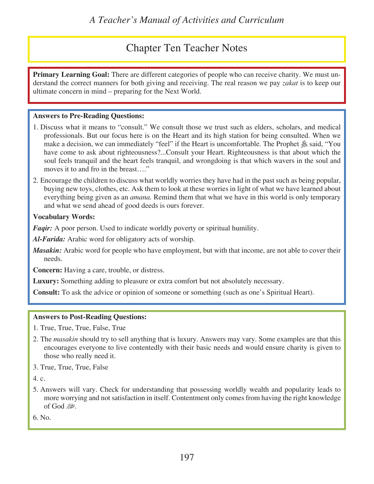## Chapter Ten Teacher Notes

**Primary Learning Goal:** There are different categories of people who can receive charity. We must understand the correct manners for both giving and receiving. The real reason we pay *zakat* is to keep our ultimate concern in mind – preparing for the Next World.

#### **Answers to Pre-Reading Questions:**

- 1. Discuss what it means to "consult." We consult those we trust such as elders, scholars, and medical professionals. But our focus here is on the Heart and its high station for being consulted. When we make a decision, we can immediately "feel" if the Heart is uncomfortable. The Prophet  $\&$  said, "You have come to ask about righteousness?...Consult your Heart. Righteousness is that about which the soul feels tranquil and the heart feels tranquil, and wrongdoing is that which wavers in the soul and moves it to and fro in the breast…."
- 2. Encourage the children to discuss what worldly worries they have had in the past such as being popular, buying new toys, clothes, etc. Ask them to look at these worries in light of what we have learned about everything being given as an *amana.* Remind them that what we have in this world is only temporary and what we send ahead of good deeds is ours forever.

#### **Vocabulary Words:**

*Faqir:* A poor person. Used to indicate worldly poverty or spiritual humility.

*Al-Farida:* Arabic word for obligatory acts of worship.

*Masakin:* Arabic word for people who have employment, but with that income, are not able to cover their needs.

**Concern:** Having a care, trouble, or distress.

**Luxury:** Something adding to pleasure or extra comfort but not absolutely necessary.

**Consult:** To ask the advice or opinion of someone or something (such as one's Spiritual Heart).

#### **Answers to Post-Reading Questions:**

- 1. True, True, True, False, True
- 2. The *masakin* should try to sell anything that is luxury. Answers may vary. Some examples are that this encourages everyone to live contentedly with their basic needs and would ensure charity is given to those who really need it.
- 3. True, True, True, False

4. c.

5. Answers will vary. Check for understanding that possessing worldly wealth and popularity leads to more worrying and not satisfaction in itself. Contentment only comes from having the right knowledge of God

6. No.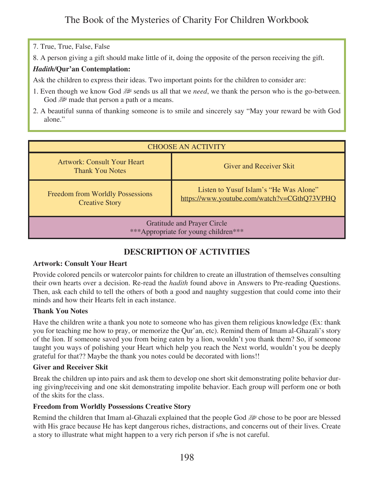#### 7. True, True, False, False

8. A person giving a gift should make little of it, doing the opposite of the person receiving the gift.

#### *Hadith/***Qur'an Contemplation:**

Ask the children to express their ideas. Two important points for the children to consider are:

- 1. Even though we know God  $\mathbb{R}^n$  sends us all that we *need*, we thank the person who is the go-between. God  $\mathbb{R}^n$  made that person a path or a means.
- 2. A beautiful sunna of thanking someone is to smile and sincerely say "May your reward be with God alone."

| <b>CHOOSE AN ACTIVITY</b>                                                  |                                                                                       |
|----------------------------------------------------------------------------|---------------------------------------------------------------------------------------|
| <b>Artwork: Consult Your Heart</b><br><b>Thank You Notes</b>               | <b>Giver and Receiver Skit</b>                                                        |
| <b>Freedom from Worldly Possessions</b><br><b>Creative Story</b>           | Listen to Yusuf Islam's "He Was Alone"<br>https://www.youtube.com/watch?v=CGthQ73VPHQ |
| <b>Gratitude and Prayer Circle</b><br>***Appropriate for young children*** |                                                                                       |

### **DESCRIPTION OF ACTIVITIES**

#### **Artwork: Consult Your Heart**

Provide colored pencils or watercolor paints for children to create an illustration of themselves consulting their own hearts over a decision. Re-read the *hadith* found above in Answers to Pre-reading Questions. Then, ask each child to tell the others of both a good and naughty suggestion that could come into their minds and how their Hearts felt in each instance.

#### **Thank You Notes**

Have the children write a thank you note to someone who has given them religious knowledge (Ex: thank you for teaching me how to pray, or memorize the Qur'an, etc). Remind them of Imam al-Ghazali's story of the lion. If someone saved you from being eaten by a lion, wouldn't you thank them? So, if someone taught you ways of polishing your Heart which help you reach the Next world, wouldn't you be deeply grateful for that?? Maybe the thank you notes could be decorated with lions!!

#### **Giver and Receiver Skit**

Break the children up into pairs and ask them to develop one short skit demonstrating polite behavior during giving/receiving and one skit demonstrating impolite behavior. Each group will perform one or both of the skits for the class.

#### **Freedom from Worldly Possessions Creative Story**

Remind the children that Imam al-Ghazali explained that the people God university chose to be poor are blessed with His grace because He has kept dangerous riches, distractions, and concerns out of their lives. Create a story to illustrate what might happen to a very rich person if s/he is not careful.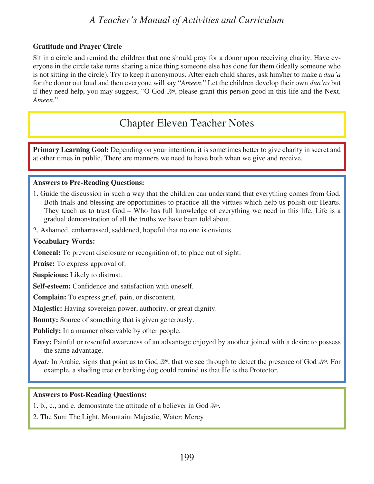#### **Gratitude and Prayer Circle**

Sit in a circle and remind the children that one should pray for a donor upon receiving charity. Have everyone in the circle take turns sharing a nice thing someone else has done for them (ideally someone who is not sitting in the circle). Try to keep it anonymous. After each child shares, ask him/her to make a *dua'a* for the donor out loud and then everyone will say "*Ameen*." Let the children develop their own *dua'as* but if they need help, you may suggest, "O God  $\mathbb{R}$ , please grant this person good in this life and the Next. *Ameen.*"

## Chapter Eleven Teacher Notes

**Primary Learning Goal:** Depending on your intention, it is sometimes better to give charity in secret and at other times in public. There are manners we need to have both when we give and receive.

#### **Answers to Pre-Reading Questions:**

- 1. Guide the discussion in such a way that the children can understand that everything comes from God. Both trials and blessing are opportunities to practice all the virtues which help us polish our Hearts. They teach us to trust God – Who has full knowledge of everything we need in this life. Life is a gradual demonstration of all the truths we have been told about.
- 2. Ashamed, embarrassed, saddened, hopeful that no one is envious.

#### **Vocabulary Words:**

**Conceal:** To prevent disclosure or recognition of; to place out of sight.

**Praise:** To express approval of.

**Suspicious:** Likely to distrust.

**Self-esteem:** Confidence and satisfaction with oneself.

**Complain:** To express grief, pain, or discontent.

**Majestic:** Having sovereign power, authority, or great dignity.

**Bounty:** Source of something that is given generously.

**Publicly:** In a manner observable by other people.

**Envy:** Painful or resentful awareness of an advantage enjoyed by another joined with a desire to possess the same advantage.

*Ayat:* In Arabic, signs that point us to God  $\gg$ , that we see through to detect the presence of God  $\gg$ . For example, a shading tree or barking dog could remind us that He is the Protector.

#### **Answers to Post-Reading Questions:**

1. b., c., and e. demonstrate the attitude of a believer in God  $\mathbb{R}^2$ .

2. The Sun: The Light, Mountain: Majestic, Water: Mercy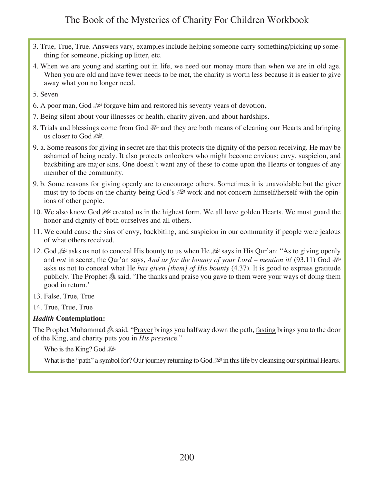- 3. True, True, True. Answers vary, examples include helping someone carry something/picking up something for someone, picking up litter, etc.
- 4. When we are young and starting out in life, we need our money more than when we are in old age. When you are old and have fewer needs to be met, the charity is worth less because it is easier to give away what you no longer need.

5. Seven

- 6. A poor man, God  $\mathcal{H}$  forgave him and restored his seventy years of devotion.
- 7. Being silent about your illnesses or health, charity given, and about hardships.
- 8. Trials and blessings come from God  $\mathbb{R}^2$  and they are both means of cleaning our Hearts and bringing us closer to God
- 9. a. Some reasons for giving in secret are that this protects the dignity of the person receiving. He may be ashamed of being needy. It also protects onlookers who might become envious; envy, suspicion, and backbiting are major sins. One doesn't want any of these to come upon the Hearts or tongues of any member of the community.
- 9. b. Some reasons for giving openly are to encourage others. Sometimes it is unavoidable but the giver must try to focus on the charity being God's  $\mathbb{R}^n$  work and not concern himself/herself with the opinions of other people.
- 10. We also know God  $\mathbb{R}^2$  created us in the highest form. We all have golden Hearts. We must guard the honor and dignity of both ourselves and all others.
- 11. We could cause the sins of envy, backbiting, and suspicion in our community if people were jealous of what others received.
- 12. God six us not to conceal His bounty to us when He says in His Qur'an: "As to giving openly and *not* in secret, the Qur'an says, *And as for the bounty of your Lord – mention it!* (93.11) God u asks us not to conceal what He *has given [them] of His bounty* (4.37). It is good to express gratitude publicly. The Prophet  $\triangleq$  said, 'The thanks and praise you gave to them were your ways of doing them good in return.'
- 13. False, True, True
- 14. True, True, True

#### *Hadith* **Contemplation:**

The Prophet Muhammad  $\&$  said, "Prayer brings you halfway down the path, fasting brings you to the door of the King, and charity puts you in *His presenc*e."

Who is the King? God

What is the "path" a symbol for? Our journey returning to God  $\mathbb{R}^2$  in this life by cleansing our spiritual Hearts.